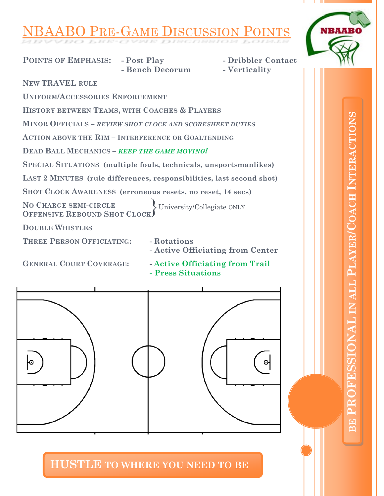## **BO PRE-GAME DISCUSSION POINTS**

**POINTS OF EMPHASIS: - Post Play - Dribbler Contact**



University/Collegiate ONLY } **- Bench Decorum - Verticality NEW TRAVEL RULE UNIFORM/ACCESSORIES ENFORCEMENT HISTORY BETWEEN TEAMS, WITH COACHES & PLAYERS MINOR OFFICIALS –** *REVIEW SHOT CLOCK AND SCORESHEET DUTIES* **ACTION ABOVE THE RIM – INTERFERENCE OR GOALTENDING DEAD BALL MECHANICS –** *KEEP THE GAME MOVING!* **SPECIAL SITUATIONS (multiple fouls, technicals, unsportsmanlikes) LAST 2 MINUTES (rule differences, responsibilities, last second shot) SHOT CLOCK AWARENESS (erroneous resets, no reset, 14 secs) NO CHARGE SEMI-CIRCLE OFFENSIVE REBOUND SHOT CLOCK DOUBLE WHISTLES THREE PERSON OFFICIATING: - Rotations - Active Officiating from Center GENERAL COURT COVERAGE: - Active Officiating from Trail**

**- Press Situations**



**HUSTLE TO WHERE YOU NEED TO BE**